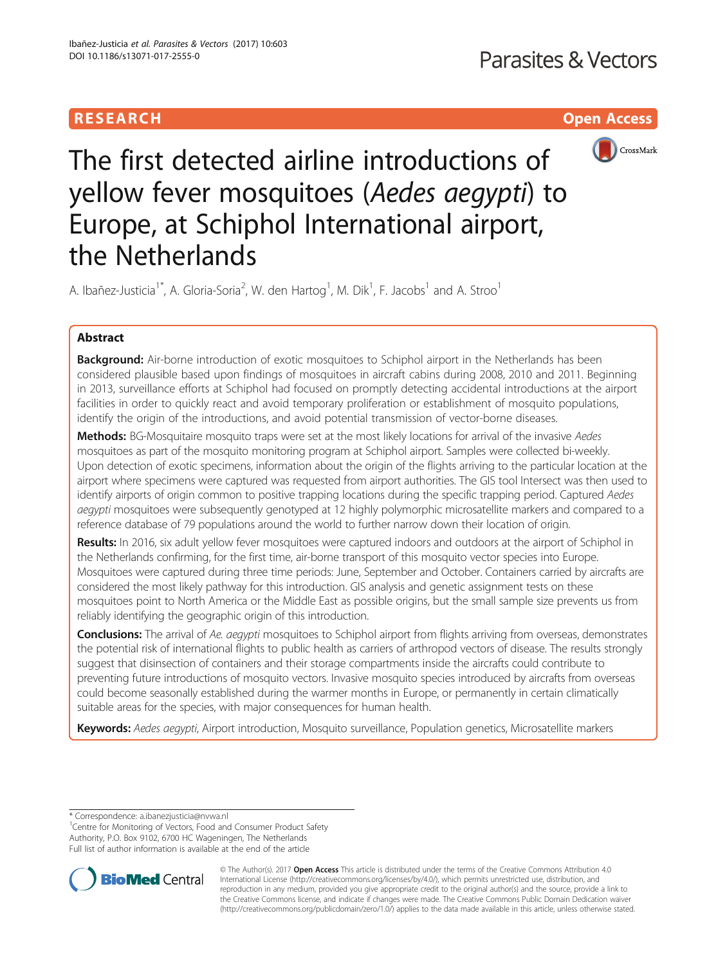# **RESEARCH CHILD CONTROL** CONTROL CONTROL CONTROL CONTROL CONTROL CONTROL CONTROL CONTROL CONTROL CONTROL CONTROL CONTROL CONTROL CONTROL CONTROL CONTROL CONTROL CONTROL CONTROL CONTROL CONTROL CONTROL CONTROL CONTROL CONTR



The first detected airline introductions of yellow fever mosquitoes (Aedes aegypti) to Europe, at Schiphol International airport, the Netherlands

A. Ibañez-Justicia<sup>1\*</sup>, A. Gloria-Soria<sup>2</sup>, W. den Hartog<sup>1</sup>, M. Dik<sup>1</sup>, F. Jacobs<sup>1</sup> and A. Stroo<sup>1</sup>

# Abstract

**Background:** Air-borne introduction of exotic mosquitoes to Schiphol airport in the Netherlands has been considered plausible based upon findings of mosquitoes in aircraft cabins during 2008, 2010 and 2011. Beginning in 2013, surveillance efforts at Schiphol had focused on promptly detecting accidental introductions at the airport facilities in order to quickly react and avoid temporary proliferation or establishment of mosquito populations, identify the origin of the introductions, and avoid potential transmission of vector-borne diseases.

Methods: BG-Mosquitaire mosquito traps were set at the most likely locations for arrival of the invasive Aedes mosquitoes as part of the mosquito monitoring program at Schiphol airport. Samples were collected bi-weekly. Upon detection of exotic specimens, information about the origin of the flights arriving to the particular location at the airport where specimens were captured was requested from airport authorities. The GIS tool Intersect was then used to identify airports of origin common to positive trapping locations during the specific trapping period. Captured Aedes aegypti mosquitoes were subsequently genotyped at 12 highly polymorphic microsatellite markers and compared to a reference database of 79 populations around the world to further narrow down their location of origin.

Results: In 2016, six adult yellow fever mosquitoes were captured indoors and outdoors at the airport of Schiphol in the Netherlands confirming, for the first time, air-borne transport of this mosquito vector species into Europe. Mosquitoes were captured during three time periods: June, September and October. Containers carried by aircrafts are considered the most likely pathway for this introduction. GIS analysis and genetic assignment tests on these mosquitoes point to North America or the Middle East as possible origins, but the small sample size prevents us from reliably identifying the geographic origin of this introduction.

Conclusions: The arrival of Ae. aegypti mosquitoes to Schiphol airport from flights arriving from overseas, demonstrates the potential risk of international flights to public health as carriers of arthropod vectors of disease. The results strongly suggest that disinsection of containers and their storage compartments inside the aircrafts could contribute to preventing future introductions of mosquito vectors. Invasive mosquito species introduced by aircrafts from overseas could become seasonally established during the warmer months in Europe, or permanently in certain climatically suitable areas for the species, with major consequences for human health.

Keywords: Aedes aegypti, Airport introduction, Mosquito surveillance, Population genetics, Microsatellite markers

\* Correspondence: [a.ibanezjusticia@nvwa.nl](mailto:a.ibanezjusticia@nvwa.nl) <sup>1</sup>

<sup>1</sup> Centre for Monitoring of Vectors, Food and Consumer Product Safety Authority, P.O. Box 9102, 6700 HC Wageningen, The Netherlands Full list of author information is available at the end of the article



© The Author(s). 2017 **Open Access** This article is distributed under the terms of the Creative Commons Attribution 4.0 International License [\(http://creativecommons.org/licenses/by/4.0/](http://creativecommons.org/licenses/by/4.0/)), which permits unrestricted use, distribution, and reproduction in any medium, provided you give appropriate credit to the original author(s) and the source, provide a link to the Creative Commons license, and indicate if changes were made. The Creative Commons Public Domain Dedication waiver [\(http://creativecommons.org/publicdomain/zero/1.0/](http://creativecommons.org/publicdomain/zero/1.0/)) applies to the data made available in this article, unless otherwise stated.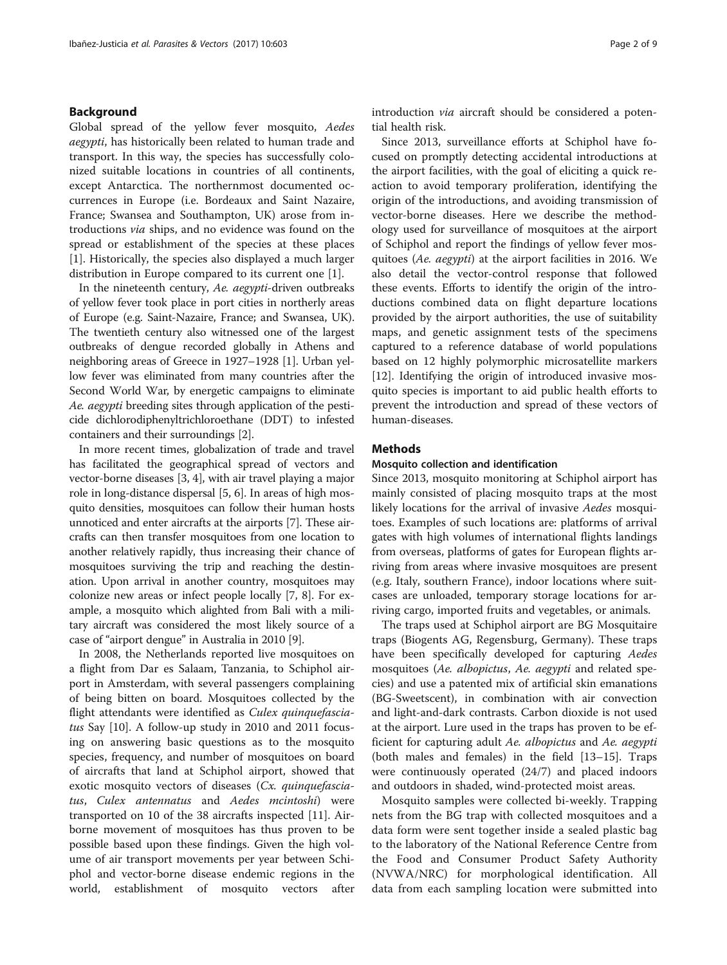# Background

Global spread of the yellow fever mosquito, Aedes aegypti, has historically been related to human trade and transport. In this way, the species has successfully colonized suitable locations in countries of all continents, except Antarctica. The northernmost documented occurrences in Europe (i.e. Bordeaux and Saint Nazaire, France; Swansea and Southampton, UK) arose from introductions via ships, and no evidence was found on the spread or establishment of the species at these places [[1\]](#page-7-0). Historically, the species also displayed a much larger distribution in Europe compared to its current one [[1\]](#page-7-0).

In the nineteenth century, Ae. aegypti-driven outbreaks of yellow fever took place in port cities in northerly areas of Europe (e.g. Saint-Nazaire, France; and Swansea, UK). The twentieth century also witnessed one of the largest outbreaks of dengue recorded globally in Athens and neighboring areas of Greece in 1927–1928 [\[1](#page-7-0)]. Urban yellow fever was eliminated from many countries after the Second World War, by energetic campaigns to eliminate Ae. aegypti breeding sites through application of the pesticide dichlorodiphenyltrichloroethane (DDT) to infested containers and their surroundings [\[2](#page-7-0)].

In more recent times, globalization of trade and travel has facilitated the geographical spread of vectors and vector-borne diseases [\[3](#page-7-0), [4\]](#page-7-0), with air travel playing a major role in long-distance dispersal [\[5](#page-7-0), [6\]](#page-7-0). In areas of high mosquito densities, mosquitoes can follow their human hosts unnoticed and enter aircrafts at the airports [[7](#page-7-0)]. These aircrafts can then transfer mosquitoes from one location to another relatively rapidly, thus increasing their chance of mosquitoes surviving the trip and reaching the destination. Upon arrival in another country, mosquitoes may colonize new areas or infect people locally [\[7, 8](#page-7-0)]. For example, a mosquito which alighted from Bali with a military aircraft was considered the most likely source of a case of "airport dengue" in Australia in 2010 [\[9](#page-7-0)].

In 2008, the Netherlands reported live mosquitoes on a flight from Dar es Salaam, Tanzania, to Schiphol airport in Amsterdam, with several passengers complaining of being bitten on board. Mosquitoes collected by the flight attendants were identified as Culex quinquefasciatus Say [[10](#page-7-0)]. A follow-up study in 2010 and 2011 focusing on answering basic questions as to the mosquito species, frequency, and number of mosquitoes on board of aircrafts that land at Schiphol airport, showed that exotic mosquito vectors of diseases (Cx. quinquefasciatus, Culex antennatus and Aedes mcintoshi) were transported on 10 of the 38 aircrafts inspected [[11](#page-7-0)]. Airborne movement of mosquitoes has thus proven to be possible based upon these findings. Given the high volume of air transport movements per year between Schiphol and vector-borne disease endemic regions in the world, establishment of mosquito vectors after introduction via aircraft should be considered a potential health risk.

Since 2013, surveillance efforts at Schiphol have focused on promptly detecting accidental introductions at the airport facilities, with the goal of eliciting a quick reaction to avoid temporary proliferation, identifying the origin of the introductions, and avoiding transmission of vector-borne diseases. Here we describe the methodology used for surveillance of mosquitoes at the airport of Schiphol and report the findings of yellow fever mosquitoes (Ae. aegypti) at the airport facilities in 2016. We also detail the vector-control response that followed these events. Efforts to identify the origin of the introductions combined data on flight departure locations provided by the airport authorities, the use of suitability maps, and genetic assignment tests of the specimens captured to a reference database of world populations based on 12 highly polymorphic microsatellite markers [[12\]](#page-7-0). Identifying the origin of introduced invasive mosquito species is important to aid public health efforts to prevent the introduction and spread of these vectors of human-diseases.

# **Methods**

# Mosquito collection and identification

Since 2013, mosquito monitoring at Schiphol airport has mainly consisted of placing mosquito traps at the most likely locations for the arrival of invasive Aedes mosquitoes. Examples of such locations are: platforms of arrival gates with high volumes of international flights landings from overseas, platforms of gates for European flights arriving from areas where invasive mosquitoes are present (e.g. Italy, southern France), indoor locations where suitcases are unloaded, temporary storage locations for arriving cargo, imported fruits and vegetables, or animals.

The traps used at Schiphol airport are BG Mosquitaire traps (Biogents AG, Regensburg, Germany). These traps have been specifically developed for capturing Aedes mosquitoes (Ae. albopictus, Ae. aegypti and related species) and use a patented mix of artificial skin emanations (BG-Sweetscent), in combination with air convection and light-and-dark contrasts. Carbon dioxide is not used at the airport. Lure used in the traps has proven to be efficient for capturing adult Ae. albopictus and Ae. aegypti (both males and females) in the field [[13](#page-7-0)–[15](#page-7-0)]. Traps were continuously operated (24/7) and placed indoors and outdoors in shaded, wind-protected moist areas.

Mosquito samples were collected bi-weekly. Trapping nets from the BG trap with collected mosquitoes and a data form were sent together inside a sealed plastic bag to the laboratory of the National Reference Centre from the Food and Consumer Product Safety Authority (NVWA/NRC) for morphological identification. All data from each sampling location were submitted into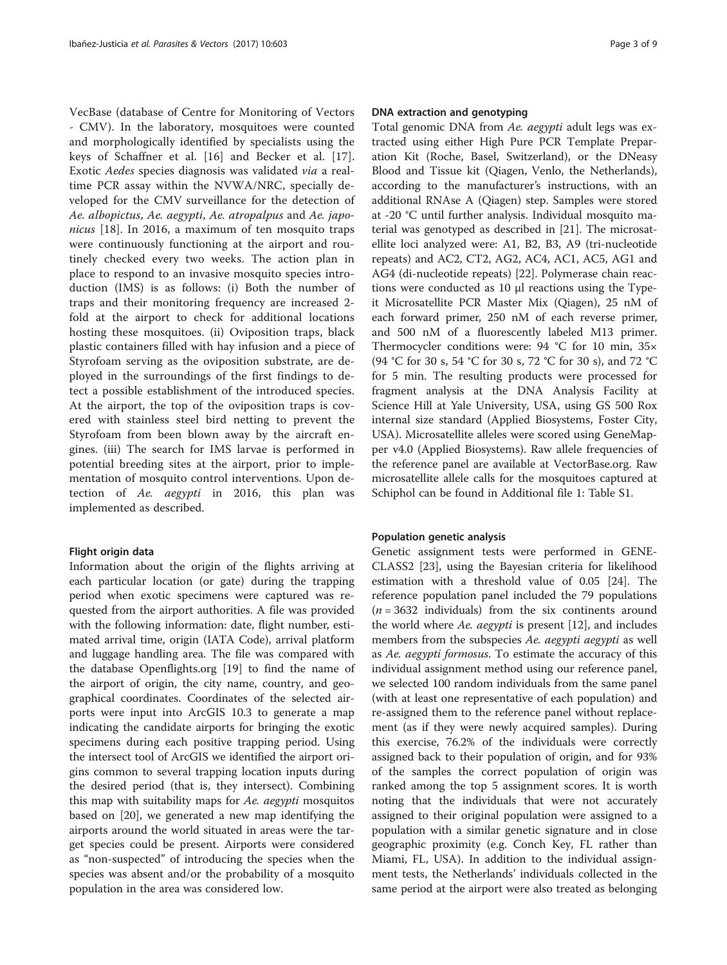VecBase (database of Centre for Monitoring of Vectors - CMV). In the laboratory, mosquitoes were counted and morphologically identified by specialists using the keys of Schaffner et al. [\[16](#page-7-0)] and Becker et al. [\[17](#page-7-0)]. Exotic Aedes species diagnosis was validated via a realtime PCR assay within the NVWA/NRC, specially developed for the CMV surveillance for the detection of Ae. albopictus, Ae. aegypti, Ae. atropalpus and Ae. japo-nicus [\[18](#page-7-0)]. In 2016, a maximum of ten mosquito traps were continuously functioning at the airport and routinely checked every two weeks. The action plan in place to respond to an invasive mosquito species introduction (IMS) is as follows: (i) Both the number of traps and their monitoring frequency are increased 2 fold at the airport to check for additional locations hosting these mosquitoes. (ii) Oviposition traps, black plastic containers filled with hay infusion and a piece of Styrofoam serving as the oviposition substrate, are deployed in the surroundings of the first findings to detect a possible establishment of the introduced species. At the airport, the top of the oviposition traps is covered with stainless steel bird netting to prevent the Styrofoam from been blown away by the aircraft engines. (iii) The search for IMS larvae is performed in potential breeding sites at the airport, prior to implementation of mosquito control interventions. Upon detection of Ae. aegypti in 2016, this plan was implemented as described.

## Flight origin data

Information about the origin of the flights arriving at each particular location (or gate) during the trapping period when exotic specimens were captured was requested from the airport authorities. A file was provided with the following information: date, flight number, estimated arrival time, origin (IATA Code), arrival platform and luggage handling area. The file was compared with the database [Openflights.org](http://openflights.org) [[19\]](#page-7-0) to find the name of the airport of origin, the city name, country, and geographical coordinates. Coordinates of the selected airports were input into ArcGIS 10.3 to generate a map indicating the candidate airports for bringing the exotic specimens during each positive trapping period. Using the intersect tool of ArcGIS we identified the airport origins common to several trapping location inputs during the desired period (that is, they intersect). Combining this map with suitability maps for Ae. aegypti mosquitos based on [\[20](#page-7-0)], we generated a new map identifying the airports around the world situated in areas were the target species could be present. Airports were considered as "non-suspected" of introducing the species when the species was absent and/or the probability of a mosquito population in the area was considered low.

## DNA extraction and genotyping

Total genomic DNA from Ae. aegypti adult legs was extracted using either High Pure PCR Template Preparation Kit (Roche, Basel, Switzerland), or the DNeasy Blood and Tissue kit (Qiagen, Venlo, the Netherlands), according to the manufacturer's instructions, with an additional RNAse A (Qiagen) step. Samples were stored at -20 °C until further analysis. Individual mosquito material was genotyped as described in [[21\]](#page-7-0). The microsatellite loci analyzed were: A1, B2, B3, A9 (tri-nucleotide repeats) and AC2, CT2, AG2, AC4, AC1, AC5, AG1 and AG4 (di-nucleotide repeats) [\[22](#page-8-0)]. Polymerase chain reactions were conducted as 10 μl reactions using the Typeit Microsatellite PCR Master Mix (Qiagen), 25 nM of each forward primer, 250 nM of each reverse primer, and 500 nM of a fluorescently labeled M13 primer. Thermocycler conditions were: 94 °C for 10 min, 35× (94 °C for 30 s, 54 °C for 30 s, 72 °C for 30 s), and 72 °C for 5 min. The resulting products were processed for fragment analysis at the DNA Analysis Facility at Science Hill at Yale University, USA, using GS 500 Rox internal size standard (Applied Biosystems, Foster City, USA). Microsatellite alleles were scored using GeneMapper v4.0 (Applied Biosystems). Raw allele frequencies of the reference panel are available at [VectorBase.org](http://vectorbase.org). Raw microsatellite allele calls for the mosquitoes captured at Schiphol can be found in Additional file [1:](#page-7-0) Table S1.

#### Population genetic analysis

Genetic assignment tests were performed in GENE-CLASS2 [[23](#page-8-0)], using the Bayesian criteria for likelihood estimation with a threshold value of 0.05 [\[24\]](#page-8-0). The reference population panel included the 79 populations  $(n = 3632$  individuals) from the six continents around the world where Ae. aegypti is present [[12](#page-7-0)], and includes members from the subspecies Ae. aegypti aegypti as well as Ae. aegypti formosus. To estimate the accuracy of this individual assignment method using our reference panel, we selected 100 random individuals from the same panel (with at least one representative of each population) and re-assigned them to the reference panel without replacement (as if they were newly acquired samples). During this exercise, 76.2% of the individuals were correctly assigned back to their population of origin, and for 93% of the samples the correct population of origin was ranked among the top 5 assignment scores. It is worth noting that the individuals that were not accurately assigned to their original population were assigned to a population with a similar genetic signature and in close geographic proximity (e.g. Conch Key, FL rather than Miami, FL, USA). In addition to the individual assignment tests, the Netherlands' individuals collected in the same period at the airport were also treated as belonging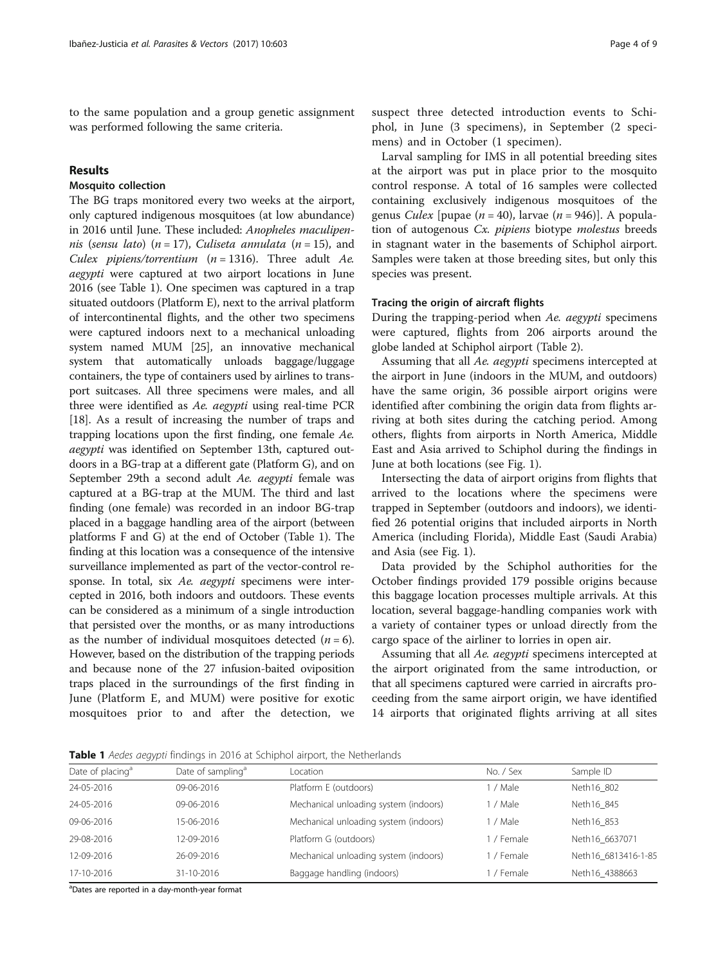to the same population and a group genetic assignment was performed following the same criteria.

# Results

# Mosquito collection

The BG traps monitored every two weeks at the airport, only captured indigenous mosquitoes (at low abundance) in 2016 until June. These included: Anopheles maculipennis (sensu lato) (n = 17), Culiseta annulata (n = 15), and Culex pipiens/torrentium  $(n = 1316)$ . Three adult Ae. aegypti were captured at two airport locations in June 2016 (see Table 1). One specimen was captured in a trap situated outdoors (Platform E), next to the arrival platform of intercontinental flights, and the other two specimens were captured indoors next to a mechanical unloading system named MUM [\[25](#page-8-0)], an innovative mechanical system that automatically unloads baggage/luggage containers, the type of containers used by airlines to transport suitcases. All three specimens were males, and all three were identified as Ae. aegypti using real-time PCR [[18](#page-7-0)]. As a result of increasing the number of traps and trapping locations upon the first finding, one female Ae. aegypti was identified on September 13th, captured outdoors in a BG-trap at a different gate (Platform G), and on September 29th a second adult Ae. aegypti female was captured at a BG-trap at the MUM. The third and last finding (one female) was recorded in an indoor BG-trap placed in a baggage handling area of the airport (between platforms F and G) at the end of October (Table 1). The finding at this location was a consequence of the intensive surveillance implemented as part of the vector-control response. In total, six Ae. aegypti specimens were intercepted in 2016, both indoors and outdoors. These events can be considered as a minimum of a single introduction that persisted over the months, or as many introductions as the number of individual mosquitoes detected  $(n = 6)$ . However, based on the distribution of the trapping periods and because none of the 27 infusion-baited oviposition traps placed in the surroundings of the first finding in June (Platform E, and MUM) were positive for exotic mosquitoes prior to and after the detection, we

suspect three detected introduction events to Schiphol, in June (3 specimens), in September (2 specimens) and in October (1 specimen).

Larval sampling for IMS in all potential breeding sites at the airport was put in place prior to the mosquito control response. A total of 16 samples were collected containing exclusively indigenous mosquitoes of the genus Culex [pupae ( $n = 40$ ), larvae ( $n = 946$ )]. A population of autogenous Cx. pipiens biotype molestus breeds in stagnant water in the basements of Schiphol airport. Samples were taken at those breeding sites, but only this species was present.

# Tracing the origin of aircraft flights

During the trapping-period when Ae. aegypti specimens were captured, flights from 206 airports around the globe landed at Schiphol airport (Table [2\)](#page-4-0).

Assuming that all Ae. aegypti specimens intercepted at the airport in June (indoors in the MUM, and outdoors) have the same origin, 36 possible airport origins were identified after combining the origin data from flights arriving at both sites during the catching period. Among others, flights from airports in North America, Middle East and Asia arrived to Schiphol during the findings in June at both locations (see Fig. [1](#page-4-0)).

Intersecting the data of airport origins from flights that arrived to the locations where the specimens were trapped in September (outdoors and indoors), we identified 26 potential origins that included airports in North America (including Florida), Middle East (Saudi Arabia) and Asia (see Fig. [1](#page-4-0)).

Data provided by the Schiphol authorities for the October findings provided 179 possible origins because this baggage location processes multiple arrivals. At this location, several baggage-handling companies work with a variety of container types or unload directly from the cargo space of the airliner to lorries in open air.

Assuming that all Ae. aegypti specimens intercepted at the airport originated from the same introduction, or that all specimens captured were carried in aircrafts proceeding from the same airport origin, we have identified 14 airports that originated flights arriving at all sites

Table 1 Aedes aegypti findings in 2016 at Schiphol airport, the Netherlands

| Date of placing <sup>a</sup> | Date of sampling <sup>a</sup> | l ocation                             | No. / Sex  | Sample ID           |
|------------------------------|-------------------------------|---------------------------------------|------------|---------------------|
| 24-05-2016                   | 09-06-2016                    | Platform E (outdoors)                 | / Male     | Neth16 802          |
| 24-05-2016                   | 09-06-2016                    | Mechanical unloading system (indoors) | / Male     | Neth16 845          |
| 09-06-2016                   | 15-06-2016                    | Mechanical unloading system (indoors) | / Male     | Neth16 853          |
| 29-08-2016                   | 12-09-2016                    | Platform G (outdoors)                 | ' Female   | Neth16 6637071      |
| 12-09-2016                   | 26-09-2016                    | Mechanical unloading system (indoors) | l / Female | Neth16 6813416-1-85 |
| 17-10-2016                   | 31-10-2016                    | Baggage handling (indoors)            | ' Female   | Neth16 4388663      |

<sup>a</sup>Dates are reported in a day-month-year format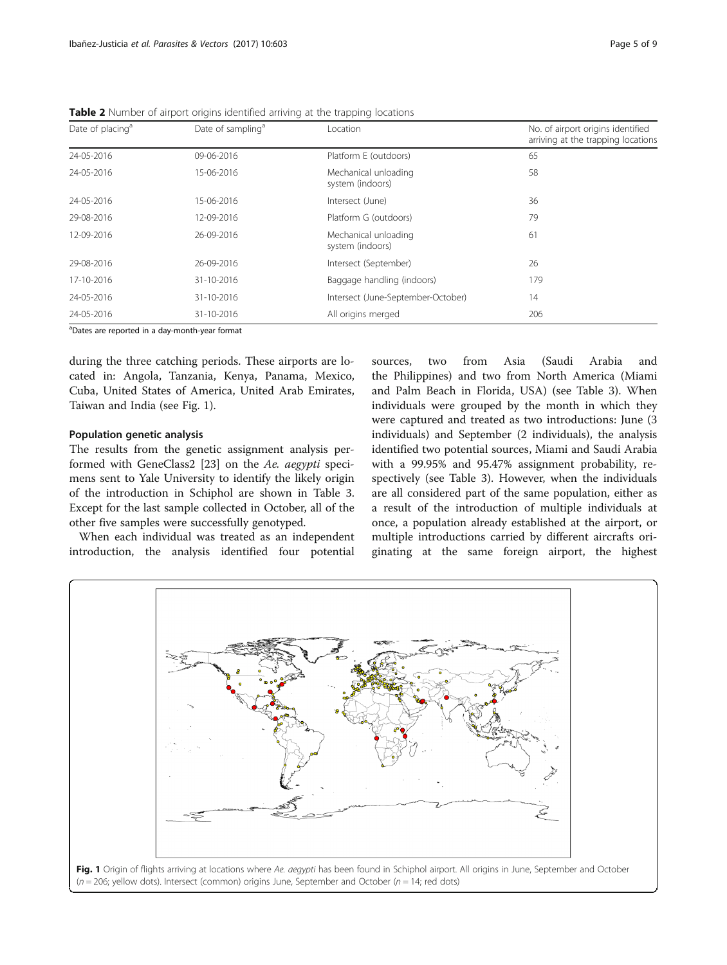| Date of placing <sup>a</sup> | Date of sampling <sup>a</sup> | Location                                 | No. of airport origins identified<br>arriving at the trapping locations |
|------------------------------|-------------------------------|------------------------------------------|-------------------------------------------------------------------------|
| 24-05-2016                   | 09-06-2016                    | Platform E (outdoors)                    | 65                                                                      |
| 24-05-2016                   | 15-06-2016                    | Mechanical unloading<br>system (indoors) | 58                                                                      |
| 24-05-2016                   | 15-06-2016                    | Intersect (June)                         | 36                                                                      |
| 29-08-2016                   | 12-09-2016                    | Platform G (outdoors)                    | 79                                                                      |
| 12-09-2016                   | 26-09-2016                    | Mechanical unloading<br>system (indoors) | 61                                                                      |
| 29-08-2016                   | 26-09-2016                    | Intersect (September)                    | 26                                                                      |
| 17-10-2016                   | 31-10-2016                    | Baggage handling (indoors)               | 179                                                                     |
| 24-05-2016                   | 31-10-2016                    | Intersect (June-September-October)       | 14                                                                      |
| 24-05-2016                   | 31-10-2016                    | All origins merged                       | 206                                                                     |

<span id="page-4-0"></span>Table 2 Number of airport origins identified arriving at the trapping locations

<sup>a</sup>Dates are reported in a day-month-year format

during the three catching periods. These airports are located in: Angola, Tanzania, Kenya, Panama, Mexico, Cuba, United States of America, United Arab Emirates, Taiwan and India (see Fig. 1).

# Population genetic analysis

The results from the genetic assignment analysis performed with GeneClass2 [\[23](#page-8-0)] on the Ae. aegypti specimens sent to Yale University to identify the likely origin of the introduction in Schiphol are shown in Table [3](#page-5-0). Except for the last sample collected in October, all of the other five samples were successfully genotyped.

When each individual was treated as an independent introduction, the analysis identified four potential

sources, two from Asia (Saudi Arabia and the Philippines) and two from North America (Miami and Palm Beach in Florida, USA) (see Table [3\)](#page-5-0). When individuals were grouped by the month in which they were captured and treated as two introductions: June (3 individuals) and September (2 individuals), the analysis identified two potential sources, Miami and Saudi Arabia with a 99.95% and 95.47% assignment probability, respectively (see Table [3](#page-5-0)). However, when the individuals are all considered part of the same population, either as a result of the introduction of multiple individuals at once, a population already established at the airport, or multiple introductions carried by different aircrafts originating at the same foreign airport, the highest

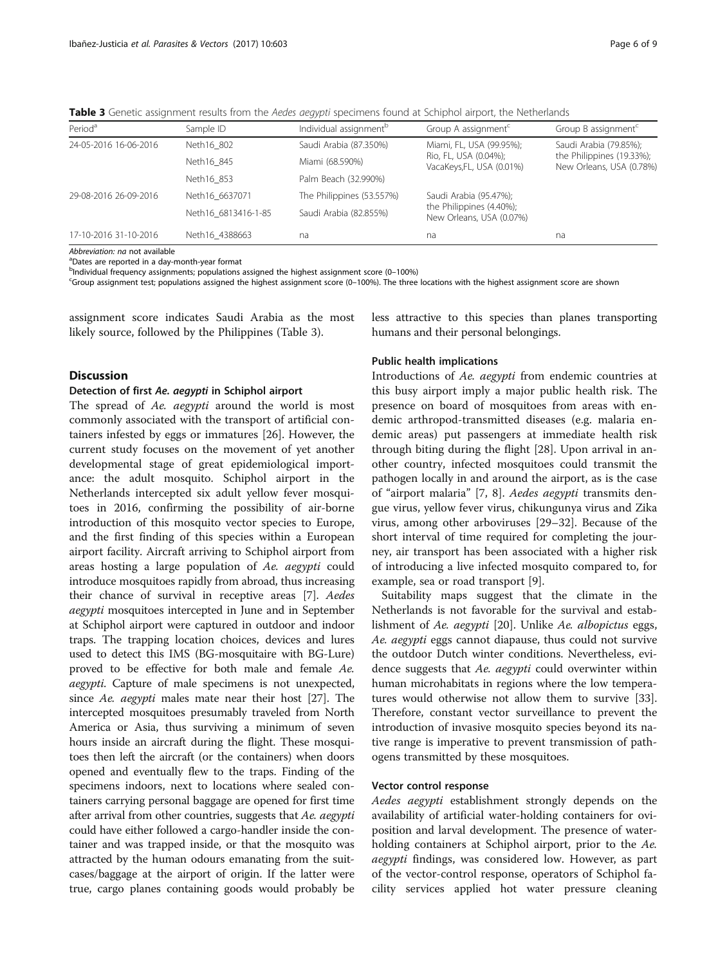<span id="page-5-0"></span>Table 3 Genetic assignment results from the Aedes aegypti specimens found at Schiphol airport, the Netherlands

| Period <sup>a</sup>   | Sample ID           | Individual assignment <sup>b</sup> | Group A assignment <sup>c</sup>                                                | Group B assignment <sup>c</sup>                                                 |
|-----------------------|---------------------|------------------------------------|--------------------------------------------------------------------------------|---------------------------------------------------------------------------------|
| 24-05-2016 16-06-2016 | Neth16 802          | Saudi Arabia (87.350%)             | Miami, FL, USA (99.95%);<br>Rio, FL, USA (0.04%);<br>VacaKeys, FL, USA (0.01%) | Saudi Arabia (79.85%);<br>the Philippines (19.33%);<br>New Orleans, USA (0.78%) |
|                       | Neth16 845          | Miami (68.590%)                    |                                                                                |                                                                                 |
|                       | Neth16 853          | Palm Beach (32.990%)               |                                                                                |                                                                                 |
| 29-08-2016 26-09-2016 | Neth16 6637071      | The Philippines (53.557%)          | Saudi Arabia (95.47%);                                                         |                                                                                 |
|                       | Neth16 6813416-1-85 | Saudi Arabia (82.855%)             | the Philippines (4.40%);<br>New Orleans, USA (0.07%)                           |                                                                                 |
| 17-10-2016 31-10-2016 | Neth16 4388663      | na                                 | na                                                                             | na                                                                              |
|                       |                     |                                    |                                                                                |                                                                                 |

Abbreviation: na not available

Dates are reported in a day-month-year format

b
Individual frequency assignments; populations assigned the highest assignment score (0–100%)<br>SCroup assignment test: populations assigned the highest assignment score (0–100%). The three

Group assignment test; populations assigned the highest assignment score (0–100%). The three locations with the highest assignment score are shown

assignment score indicates Saudi Arabia as the most likely source, followed by the Philippines (Table 3).

## **Discussion**

#### Detection of first Ae. aegypti in Schiphol airport

The spread of Ae. aegypti around the world is most commonly associated with the transport of artificial containers infested by eggs or immatures [\[26\]](#page-8-0). However, the current study focuses on the movement of yet another developmental stage of great epidemiological importance: the adult mosquito. Schiphol airport in the Netherlands intercepted six adult yellow fever mosquitoes in 2016, confirming the possibility of air-borne introduction of this mosquito vector species to Europe, and the first finding of this species within a European airport facility. Aircraft arriving to Schiphol airport from areas hosting a large population of Ae. aegypti could introduce mosquitoes rapidly from abroad, thus increasing their chance of survival in receptive areas [\[7](#page-7-0)]. Aedes aegypti mosquitoes intercepted in June and in September at Schiphol airport were captured in outdoor and indoor traps. The trapping location choices, devices and lures used to detect this IMS (BG-mosquitaire with BG-Lure) proved to be effective for both male and female Ae. aegypti. Capture of male specimens is not unexpected, since Ae. aegypti males mate near their host [\[27\]](#page-8-0). The intercepted mosquitoes presumably traveled from North America or Asia, thus surviving a minimum of seven hours inside an aircraft during the flight. These mosquitoes then left the aircraft (or the containers) when doors opened and eventually flew to the traps. Finding of the specimens indoors, next to locations where sealed containers carrying personal baggage are opened for first time after arrival from other countries, suggests that Ae. aegypti could have either followed a cargo-handler inside the container and was trapped inside, or that the mosquito was attracted by the human odours emanating from the suitcases/baggage at the airport of origin. If the latter were true, cargo planes containing goods would probably be

less attractive to this species than planes transporting humans and their personal belongings.

#### Public health implications

Introductions of Ae. aegypti from endemic countries at this busy airport imply a major public health risk. The presence on board of mosquitoes from areas with endemic arthropod-transmitted diseases (e.g. malaria endemic areas) put passengers at immediate health risk through biting during the flight [[28\]](#page-8-0). Upon arrival in another country, infected mosquitoes could transmit the pathogen locally in and around the airport, as is the case of "airport malaria" [[7](#page-7-0), [8](#page-7-0)]. Aedes aegypti transmits dengue virus, yellow fever virus, chikungunya virus and Zika virus, among other arboviruses [\[29](#page-8-0)–[32\]](#page-8-0). Because of the short interval of time required for completing the journey, air transport has been associated with a higher risk of introducing a live infected mosquito compared to, for example, sea or road transport [\[9\]](#page-7-0).

Suitability maps suggest that the climate in the Netherlands is not favorable for the survival and establishment of Ae. aegypti [[20](#page-7-0)]. Unlike Ae. albopictus eggs, Ae. aegypti eggs cannot diapause, thus could not survive the outdoor Dutch winter conditions. Nevertheless, evidence suggests that Ae. aegypti could overwinter within human microhabitats in regions where the low temperatures would otherwise not allow them to survive [\[33](#page-8-0)]. Therefore, constant vector surveillance to prevent the introduction of invasive mosquito species beyond its native range is imperative to prevent transmission of pathogens transmitted by these mosquitoes.

### Vector control response

Aedes aegypti establishment strongly depends on the availability of artificial water-holding containers for oviposition and larval development. The presence of waterholding containers at Schiphol airport, prior to the Ae. aegypti findings, was considered low. However, as part of the vector-control response, operators of Schiphol facility services applied hot water pressure cleaning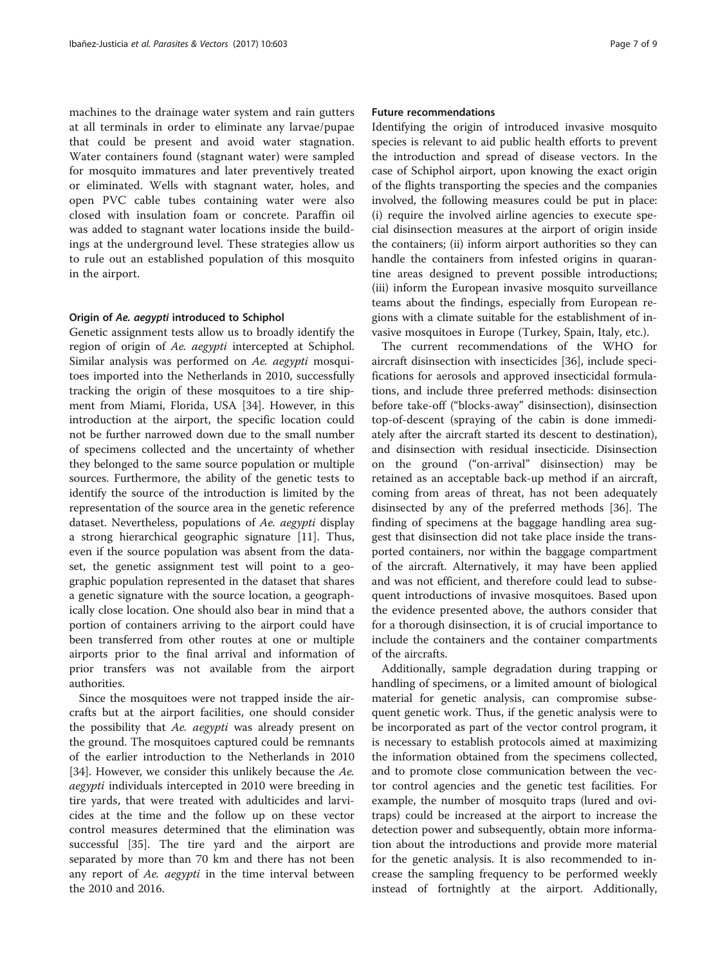machines to the drainage water system and rain gutters at all terminals in order to eliminate any larvae/pupae that could be present and avoid water stagnation. Water containers found (stagnant water) were sampled for mosquito immatures and later preventively treated or eliminated. Wells with stagnant water, holes, and open PVC cable tubes containing water were also closed with insulation foam or concrete. Paraffin oil was added to stagnant water locations inside the buildings at the underground level. These strategies allow us to rule out an established population of this mosquito in the airport.

### Origin of Ae. aegypti introduced to Schiphol

Genetic assignment tests allow us to broadly identify the region of origin of Ae. aegypti intercepted at Schiphol. Similar analysis was performed on Ae. aegypti mosquitoes imported into the Netherlands in 2010, successfully tracking the origin of these mosquitoes to a tire shipment from Miami, Florida, USA [[34](#page-8-0)]. However, in this introduction at the airport, the specific location could not be further narrowed down due to the small number of specimens collected and the uncertainty of whether they belonged to the same source population or multiple sources. Furthermore, the ability of the genetic tests to identify the source of the introduction is limited by the representation of the source area in the genetic reference dataset. Nevertheless, populations of Ae. aegypti display a strong hierarchical geographic signature [[11\]](#page-7-0). Thus, even if the source population was absent from the dataset, the genetic assignment test will point to a geographic population represented in the dataset that shares a genetic signature with the source location, a geographically close location. One should also bear in mind that a portion of containers arriving to the airport could have been transferred from other routes at one or multiple airports prior to the final arrival and information of prior transfers was not available from the airport authorities.

Since the mosquitoes were not trapped inside the aircrafts but at the airport facilities, one should consider the possibility that Ae. aegypti was already present on the ground. The mosquitoes captured could be remnants of the earlier introduction to the Netherlands in 2010 [[34\]](#page-8-0). However, we consider this unlikely because the Ae. aegypti individuals intercepted in 2010 were breeding in tire yards, that were treated with adulticides and larvicides at the time and the follow up on these vector control measures determined that the elimination was successful [[35\]](#page-8-0). The tire yard and the airport are separated by more than 70 km and there has not been any report of Ae. *aegypti* in the time interval between the 2010 and 2016.

# Future recommendations

Identifying the origin of introduced invasive mosquito species is relevant to aid public health efforts to prevent the introduction and spread of disease vectors. In the case of Schiphol airport, upon knowing the exact origin of the flights transporting the species and the companies involved, the following measures could be put in place: (i) require the involved airline agencies to execute special disinsection measures at the airport of origin inside the containers; (ii) inform airport authorities so they can handle the containers from infested origins in quarantine areas designed to prevent possible introductions; (iii) inform the European invasive mosquito surveillance teams about the findings, especially from European regions with a climate suitable for the establishment of invasive mosquitoes in Europe (Turkey, Spain, Italy, etc.).

The current recommendations of the WHO for aircraft disinsection with insecticides [\[36\]](#page-8-0), include specifications for aerosols and approved insecticidal formulations, and include three preferred methods: disinsection before take-off ("blocks-away" disinsection), disinsection top-of-descent (spraying of the cabin is done immediately after the aircraft started its descent to destination), and disinsection with residual insecticide. Disinsection on the ground ("on-arrival" disinsection) may be retained as an acceptable back-up method if an aircraft, coming from areas of threat, has not been adequately disinsected by any of the preferred methods [[36](#page-8-0)]. The finding of specimens at the baggage handling area suggest that disinsection did not take place inside the transported containers, nor within the baggage compartment of the aircraft. Alternatively, it may have been applied and was not efficient, and therefore could lead to subsequent introductions of invasive mosquitoes. Based upon the evidence presented above, the authors consider that for a thorough disinsection, it is of crucial importance to include the containers and the container compartments of the aircrafts.

Additionally, sample degradation during trapping or handling of specimens, or a limited amount of biological material for genetic analysis, can compromise subsequent genetic work. Thus, if the genetic analysis were to be incorporated as part of the vector control program, it is necessary to establish protocols aimed at maximizing the information obtained from the specimens collected, and to promote close communication between the vector control agencies and the genetic test facilities. For example, the number of mosquito traps (lured and ovitraps) could be increased at the airport to increase the detection power and subsequently, obtain more information about the introductions and provide more material for the genetic analysis. It is also recommended to increase the sampling frequency to be performed weekly instead of fortnightly at the airport. Additionally,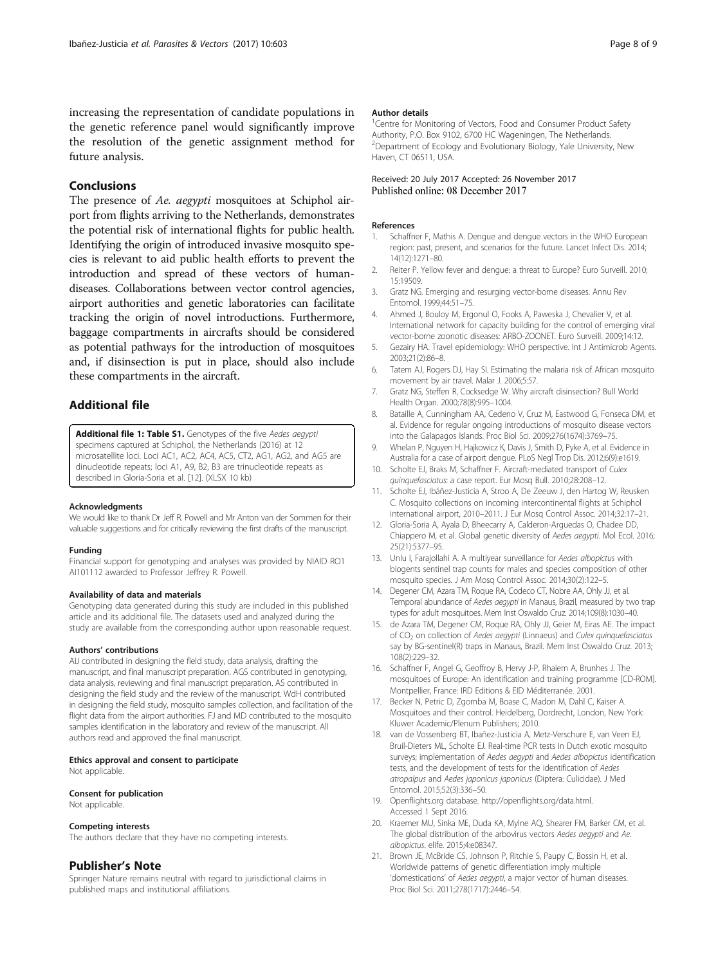# <span id="page-7-0"></span>Conclusions

The presence of Ae. aegypti mosquitoes at Schiphol airport from flights arriving to the Netherlands, demonstrates the potential risk of international flights for public health. Identifying the origin of introduced invasive mosquito species is relevant to aid public health efforts to prevent the introduction and spread of these vectors of humandiseases. Collaborations between vector control agencies, airport authorities and genetic laboratories can facilitate tracking the origin of novel introductions. Furthermore, baggage compartments in aircrafts should be considered as potential pathways for the introduction of mosquitoes and, if disinsection is put in place, should also include these compartments in the aircraft.

# Additional file

[Additional file 1: Table S1.](dx.doi.org/10.1186/s13071-017-2555-0) Genotypes of the five Aedes aegypti specimens captured at Schiphol, the Netherlands (2016) at 12 microsatellite loci. Loci AC1, AC2, AC4, AC5, CT2, AG1, AG2, and AG5 are dinucleotide repeats; loci A1, A9, B2, B3 are trinucleotide repeats as described in Gloria-Soria et al. [12]. (XLSX 10 kb)

#### Acknowledgments

We would like to thank Dr Jeff R. Powell and Mr Anton van der Sommen for their valuable suggestions and for critically reviewing the first drafts of the manuscript.

### Funding

Financial support for genotyping and analyses was provided by NIAID RO1 AI101112 awarded to Professor Jeffrey R. Powell.

#### Availability of data and materials

Genotyping data generated during this study are included in this published article and its additional file. The datasets used and analyzed during the study are available from the corresponding author upon reasonable request.

### Authors' contributions

AIJ contributed in designing the field study, data analysis, drafting the manuscript, and final manuscript preparation. AGS contributed in genotyping, data analysis, reviewing and final manuscript preparation. AS contributed in designing the field study and the review of the manuscript. WdH contributed in designing the field study, mosquito samples collection, and facilitation of the flight data from the airport authorities. FJ and MD contributed to the mosquito samples identification in the laboratory and review of the manuscript. All authors read and approved the final manuscript.

#### Ethics approval and consent to participate

Not applicable.

#### Consent for publication

Not applicable.

#### Competing interests

The authors declare that they have no competing interests.

#### Publisher's Note

Springer Nature remains neutral with regard to jurisdictional claims in published maps and institutional affiliations.

#### Author details

<sup>1</sup> Centre for Monitoring of Vectors, Food and Consumer Product Safety Authority, P.O. Box 9102, 6700 HC Wageningen, The Netherlands. <sup>2</sup>Department of Ecology and Evolutionary Biology, Yale University, New Haven, CT 06511, USA.

### Received: 20 July 2017 Accepted: 26 November 2017 Published online: 08 December 2017

### References

- 1. Schaffner F, Mathis A. Dengue and dengue vectors in the WHO European region: past, present, and scenarios for the future. Lancet Infect Dis. 2014; 14(12):1271–80.
- 2. Reiter P. Yellow fever and dengue: a threat to Europe? Euro Surveill. 2010; 15:19509.
- 3. Gratz NG. Emerging and resurging vector-borne diseases. Annu Rev Entomol. 1999;44:51–75.
- 4. Ahmed J, Bouloy M, Ergonul O, Fooks A, Paweska J, Chevalier V, et al. International network for capacity building for the control of emerging viral vector-borne zoonotic diseases: ARBO-ZOONET. Euro Surveill. 2009;14:12.
- 5. Gezairy HA. Travel epidemiology: WHO perspective. Int J Antimicrob Agents. 2003;21(2):86–8.
- 6. Tatem AJ, Rogers DJ, Hay SI. Estimating the malaria risk of African mosquito movement by air travel. Malar J. 2006;5:57.
- 7. Gratz NG, Steffen R, Cocksedge W. Why aircraft disinsection? Bull World Health Organ. 2000;78(8):995–1004.
- 8. Bataille A, Cunningham AA, Cedeno V, Cruz M, Eastwood G, Fonseca DM, et al. Evidence for regular ongoing introductions of mosquito disease vectors into the Galapagos Islands. Proc Biol Sci. 2009;276(1674):3769–75.
- 9. Whelan P, Nguyen H, Hajkowicz K, Davis J, Smith D, Pyke A, et al. Evidence in Australia for a case of airport dengue. PLoS Negl Trop Dis. 2012;6(9):e1619.
- 10. Scholte EJ, Braks M, Schaffner F. Aircraft-mediated transport of Culex quinquefasciatus: a case report. Eur Mosq Bull. 2010;28:208–12.
- 11. Scholte EJ, Ibáñez-Justicia A, Stroo A, De Zeeuw J, den Hartog W, Reusken C. Mosquito collections on incoming intercontinental flights at Schiphol international airport, 2010–2011. J Eur Mosq Control Assoc. 2014;32:17–21.
- 12. Gloria-Soria A, Ayala D, Bheecarry A, Calderon-Arguedas O, Chadee DD, Chiappero M, et al. Global genetic diversity of Aedes aegypti. Mol Ecol. 2016; 25(21):5377–95.
- 13. Unlu I, Farajollahi A. A multiyear surveillance for Aedes albopictus with biogents sentinel trap counts for males and species composition of other mosquito species. J Am Mosq Control Assoc. 2014;30(2):122–5.
- 14. Degener CM, Azara TM, Roque RA, Codeco CT, Nobre AA, Ohly JJ, et al. Temporal abundance of Aedes aegypti in Manaus, Brazil, measured by two trap types for adult mosquitoes. Mem Inst Oswaldo Cruz. 2014;109(8):1030–40.
- 15. de Azara TM, Degener CM, Roque RA, Ohly JJ, Geier M, Eiras AE. The impact of CO<sub>2</sub> on collection of Aedes aegypti (Linnaeus) and Culex quinquefasciatus say by BG-sentinel(R) traps in Manaus, Brazil. Mem Inst Oswaldo Cruz. 2013; 108(2):229–32.
- 16. Schaffner F, Angel G, Geoffroy B, Hervy J-P, Rhaiem A, Brunhes J. The mosquitoes of Europe: An identification and training programme [CD-ROM]. Montpellier, France: IRD Editions & EID Méditerranée. 2001.
- 17. Becker N, Petric D, Zgomba M, Boase C, Madon M, Dahl C, Kaiser A. Mosquitoes and their control. Heidelberg, Dordrecht, London, New York: Kluwer Academic/Plenum Publishers; 2010.
- 18. van de Vossenberg BT, Ibañez-Justicia A, Metz-Verschure E, van Veen EJ, Bruil-Dieters ML, Scholte EJ. Real-time PCR tests in Dutch exotic mosquito surveys; implementation of Aedes aegypti and Aedes albopictus identification tests, and the development of tests for the identification of Aedes atropalpus and Aedes japonicus japonicus (Diptera: Culicidae). J Med Entomol. 2015;52(3):336–50.
- 19. [Openflights.org](http://openflights.org) database. [http://openflights.org/data.html.](http://openflights.org/data.html) Accessed 1 Sept 2016.
- 20. Kraemer MU, Sinka ME, Duda KA, Mylne AQ, Shearer FM, Barker CM, et al. The global distribution of the arbovirus vectors Aedes aegypti and Ae. albopictus. elife. 2015;4:e08347.
- 21. Brown JE, McBride CS, Johnson P, Ritchie S, Paupy C, Bossin H, et al. Worldwide patterns of genetic differentiation imply multiple 'domestications' of Aedes aegypti, a major vector of human diseases. Proc Biol Sci. 2011;278(1717):2446–54.